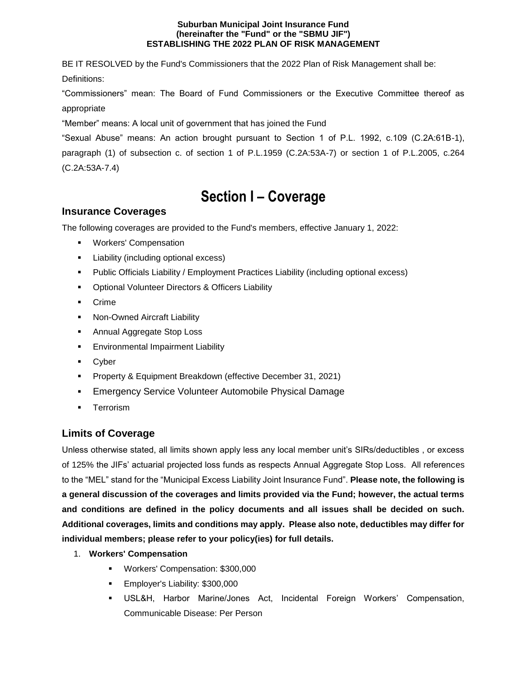#### **Suburban Municipal Joint Insurance Fund (hereinafter the "Fund" or the "SBMU JIF") ESTABLISHING THE 2022 PLAN OF RISK MANAGEMENT**

BE IT RESOLVED by the Fund's Commissioners that the 2022 Plan of Risk Management shall be: Definitions:

"Commissioners" mean: The Board of Fund Commissioners or the Executive Committee thereof as appropriate

"Member" means: A local unit of government that has joined the Fund

"Sexual Abuse" means: An action brought pursuant to Section 1 of P.L. 1992, c.109 (C.2A:61B-1), paragraph (1) of subsection c. of section 1 of P.L.1959 (C.2A:53A-7) or section 1 of P.L.2005, c.264 (C.2A:53A-7.4)

# **Section I – Coverage**

## **Insurance Coverages**

The following coverages are provided to the Fund's members, effective January 1, 2022:

- **Workers' Compensation**
- **Liability (including optional excess)**
- Public Officials Liability / Employment Practices Liability (including optional excess)
- **•** Optional Volunteer Directors & Officers Liability
- **Crime**
- **Non-Owned Aircraft Liability**
- **Annual Aggregate Stop Loss**
- **Environmental Impairment Liability**
- **Cyber**
- **Property & Equipment Breakdown (effective December 31, 2021)**
- **Emergency Service Volunteer Automobile Physical Damage**
- **Terrorism**

## **Limits of Coverage**

Unless otherwise stated, all limits shown apply less any local member unit's SIRs/deductibles , or excess of 125% the JIFs' actuarial projected loss funds as respects Annual Aggregate Stop Loss. All references to the "MEL" stand for the "Municipal Excess Liability Joint Insurance Fund". **Please note, the following is a general discussion of the coverages and limits provided via the Fund; however, the actual terms and conditions are defined in the policy documents and all issues shall be decided on such. Additional coverages, limits and conditions may apply. Please also note, deductibles may differ for individual members; please refer to your policy(ies) for full details.**

- 1. **Workers' Compensation**
	- **Workers' Compensation: \$300,000**
	- **Employer's Liability: \$300,000**
	- USL&H, Harbor Marine/Jones Act, Incidental Foreign Workers' Compensation, Communicable Disease: Per Person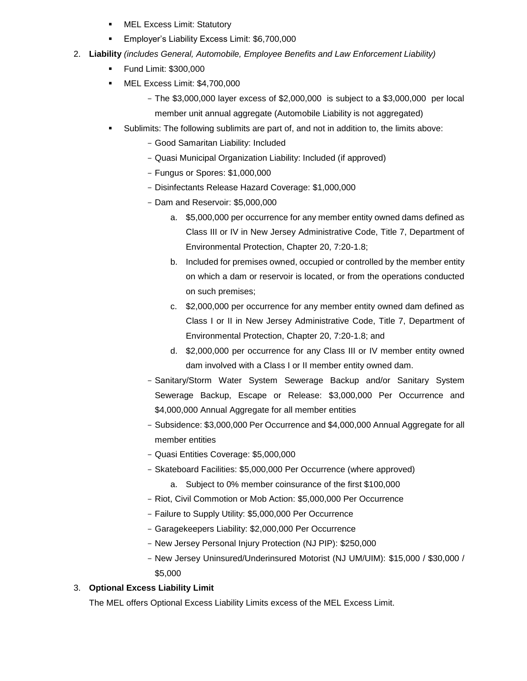- **NEL Excess Limit: Statutory**
- Employer's Liability Excess Limit: \$6,700,000
- 2. **Liability** *(includes General, Automobile, Employee Benefits and Law Enforcement Liability)*
	- **Fund Limit: \$300,000**
	- MEL Excess Limit: \$4,700,000
		- The \$3,000,000 layer excess of \$2,000,000 is subject to a \$3,000,000 per local member unit annual aggregate (Automobile Liability is not aggregated)
	- Sublimits: The following sublimits are part of, and not in addition to, the limits above:
		- Good Samaritan Liability: Included
		- Quasi Municipal Organization Liability: Included (if approved)
		- Fungus or Spores: \$1,000,000
		- Disinfectants Release Hazard Coverage: \$1,000,000
		- Dam and Reservoir: \$5,000,000
			- a. \$5,000,000 per occurrence for any member entity owned dams defined as Class III or IV in New Jersey Administrative Code, Title 7, Department of Environmental Protection, Chapter 20, 7:20-1.8;
			- b. Included for premises owned, occupied or controlled by the member entity on which a dam or reservoir is located, or from the operations conducted on such premises;
			- c. \$2,000,000 per occurrence for any member entity owned dam defined as Class I or II in New Jersey Administrative Code, Title 7, Department of Environmental Protection, Chapter 20, 7:20-1.8; and
			- d. \$2,000,000 per occurrence for any Class III or IV member entity owned dam involved with a Class I or II member entity owned dam.
		- Sanitary/Storm Water System Sewerage Backup and/or Sanitary System Sewerage Backup, Escape or Release: \$3,000,000 Per Occurrence and \$4,000,000 Annual Aggregate for all member entities
		- Subsidence: \$3,000,000 Per Occurrence and \$4,000,000 Annual Aggregate for all member entities
		- Quasi Entities Coverage: \$5,000,000
		- Skateboard Facilities: \$5,000,000 Per Occurrence (where approved)
			- a. Subject to 0% member coinsurance of the first \$100,000
		- Riot, Civil Commotion or Mob Action: \$5,000,000 Per Occurrence
		- Failure to Supply Utility: \$5,000,000 Per Occurrence
		- Garagekeepers Liability: \$2,000,000 Per Occurrence
		- New Jersey Personal Injury Protection (NJ PIP): \$250,000
		- New Jersey Uninsured/Underinsured Motorist (NJ UM/UIM): \$15,000 / \$30,000 / \$5,000

## 3. **Optional Excess Liability Limit**

The MEL offers Optional Excess Liability Limits excess of the MEL Excess Limit.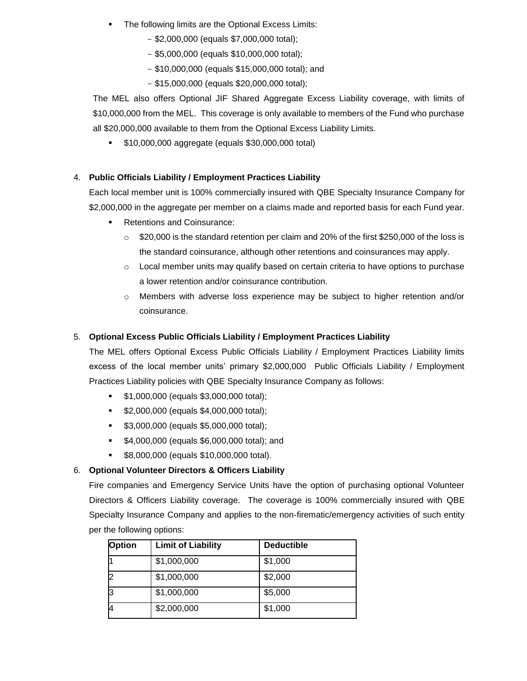- The following limits are the Optional Excess Limits:
	- \$2,000,000 (equals \$7,000,000 total);
	- \$5,000,000 (equals \$10,000,000 total);
	- \$10,000,000 (equals \$15,000,000 total); and
	- \$15,000,000 (equals \$20,000,000 total);

The MEL also offers Optional JIF Shared Aggregate Excess Liability coverage, with limits of \$10,000,000 from the MEL. This coverage is only available to members of the Fund who purchase all \$20,000,000 available to them from the Optional Excess Liability Limits.

 $\bullet$  \$10,000,000 aggregate (equals \$30,000,000 total)

#### 4. **Public Officials Liability / Employment Practices Liability**

Each local member unit is 100% commercially insured with QBE Specialty Insurance Company for \$2,000,000 in the aggregate per member on a claims made and reported basis for each Fund year.

- **Retentions and Coinsurance:** 
	- $\circ$  \$20,000 is the standard retention per claim and 20% of the first \$250,000 of the loss is the standard coinsurance, although other retentions and coinsurances may apply.
	- $\circ$  Local member units may qualify based on certain criteria to have options to purchase a lower retention and/or coinsurance contribution.
	- $\circ$  Members with adverse loss experience may be subject to higher retention and/or coinsurance.

#### 5. **Optional Excess Public Officials Liability / Employment Practices Liability**

The MEL offers Optional Excess Public Officials Liability / Employment Practices Liability limits excess of the local member units' primary \$2,000,000 Public Officials Liability / Employment Practices Liability policies with QBE Specialty Insurance Company as follows:

- **\$1,000,000 (equals \$3,000,000 total);**
- **\$2,000,000 (equals \$4,000,000 total);**
- **\$3,000,000 (equals \$5,000,000 total);**
- **\$4,000,000 (equals \$6,000,000 total); and**
- **\$8,000,000 (equals \$10,000,000 total).**

#### 6. **Optional Volunteer Directors & Officers Liability**

Fire companies and Emergency Service Units have the option of purchasing optional Volunteer Directors & Officers Liability coverage. The coverage is 100% commercially insured with QBE Specialty Insurance Company and applies to the non-firematic/emergency activities of such entity per the following options:

| <b>Option</b> | <b>Limit of Liability</b> | <b>Deductible</b> |
|---------------|---------------------------|-------------------|
|               | \$1,000,000               | \$1,000           |
| 12            | \$1,000,000               | \$2,000           |
| Iз            | \$1,000,000               | \$5,000           |
| И             | \$2,000,000               | \$1,000           |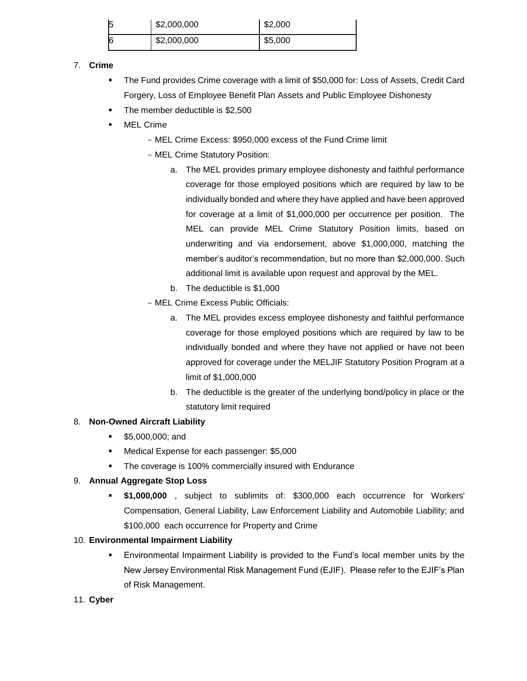| 5  | \$2,000,000 | \$2,000 |
|----|-------------|---------|
| 16 | \$2,000,000 | \$5,000 |

## 7. **Crime**

- The Fund provides Crime coverage with a limit of \$50,000 for: Loss of Assets, Credit Card Forgery, Loss of Employee Benefit Plan Assets and Public Employee Dishonesty
- The member deductible is \$2,500
- MEL Crime
	- MEL Crime Excess: \$950,000 excess of the Fund Crime limit
	- MEL Crime Statutory Position:
		- a. The MEL provides primary employee dishonesty and faithful performance coverage for those employed positions which are required by law to be individually bonded and where they have applied and have been approved for coverage at a limit of \$1,000,000 per occurrence per position. The MEL can provide MEL Crime Statutory Position limits, based on underwriting and via endorsement, above \$1,000,000, matching the member's auditor's recommendation, but no more than \$2,000,000. Such additional limit is available upon request and approval by the MEL.
		- b. The deductible is \$1,000
	- MEL Crime Excess Public Officials:
		- a. The MEL provides excess employee dishonesty and faithful performance coverage for those employed positions which are required by law to be individually bonded and where they have not applied or have not been approved for coverage under the MELJIF Statutory Position Program at a limit of \$1,000,000
		- b. The deductible is the greater of the underlying bond/policy in place or the statutory limit required

#### 8. **Non-Owned Aircraft Liability**

- **55,000,000; and**
- **Medical Expense for each passenger: \$5,000**
- The coverage is 100% commercially insured with Endurance

#### 9. **Annual Aggregate Stop Loss**

 **\$1,000,000** , subject to sublimits of: \$300,000 each occurrence for Workers' Compensation, General Liability, Law Enforcement Liability and Automobile Liability; and \$100,000 each occurrence for Property and Crime

## 10. **Environmental Impairment Liability**

- Environmental Impairment Liability is provided to the Fund's local member units by the New Jersey Environmental Risk Management Fund (EJIF). Please refer to the EJIF's Plan of Risk Management.
- 11. **Cyber**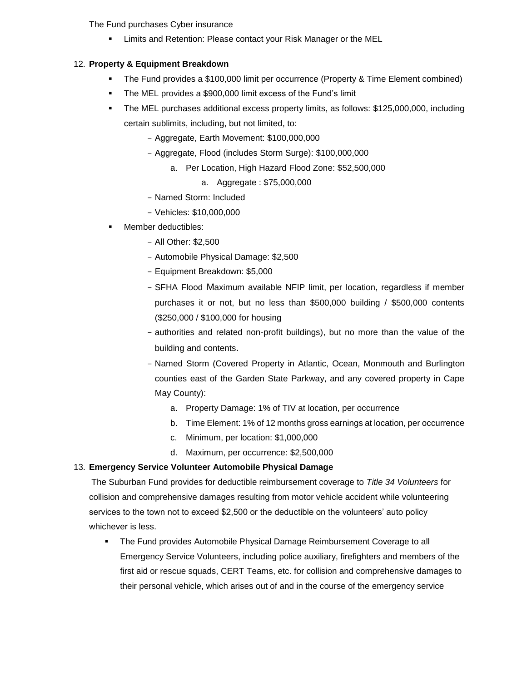The Fund purchases Cyber insurance

Limits and Retention: Please contact your Risk Manager or the MEL

#### 12. **Property & Equipment Breakdown**

- The Fund provides a \$100,000 limit per occurrence (Property & Time Element combined)
- **The MEL provides a \$900,000 limit excess of the Fund's limit**
- The MEL purchases additional excess property limits, as follows: \$125,000,000, including certain sublimits, including, but not limited, to:
	- Aggregate, Earth Movement: \$100,000,000
	- Aggregate, Flood (includes Storm Surge): \$100,000,000
		- a. Per Location, High Hazard Flood Zone: \$52,500,000
			- a. Aggregate : \$75,000,000
	- Named Storm: Included
	- Vehicles: \$10,000,000
- Member deductibles:
	- All Other: \$2,500
	- Automobile Physical Damage: \$2,500
	- Equipment Breakdown: \$5,000
	- SFHA Flood Maximum available NFIP limit, per location, regardless if member purchases it or not, but no less than \$500,000 building / \$500,000 contents (\$250,000 / \$100,000 for housing
	- authorities and related non-profit buildings), but no more than the value of the building and contents.
	- Named Storm (Covered Property in Atlantic, Ocean, Monmouth and Burlington counties east of the Garden State Parkway, and any covered property in Cape May County):
		- a. Property Damage: 1% of TIV at location, per occurrence
		- b. Time Element: 1% of 12 months gross earnings at location, per occurrence
		- c. Minimum, per location: \$1,000,000
		- d. Maximum, per occurrence: \$2,500,000

#### 13. **Emergency Service Volunteer Automobile Physical Damage**

The Suburban Fund provides for deductible reimbursement coverage to *Title 34 Volunteers* for collision and comprehensive damages resulting from motor vehicle accident while volunteering services to the town not to exceed \$2,500 or the deductible on the volunteers' auto policy whichever is less.

 The Fund provides Automobile Physical Damage Reimbursement Coverage to all Emergency Service Volunteers, including police auxiliary, firefighters and members of the first aid or rescue squads, CERT Teams, etc. for collision and comprehensive damages to their personal vehicle, which arises out of and in the course of the emergency service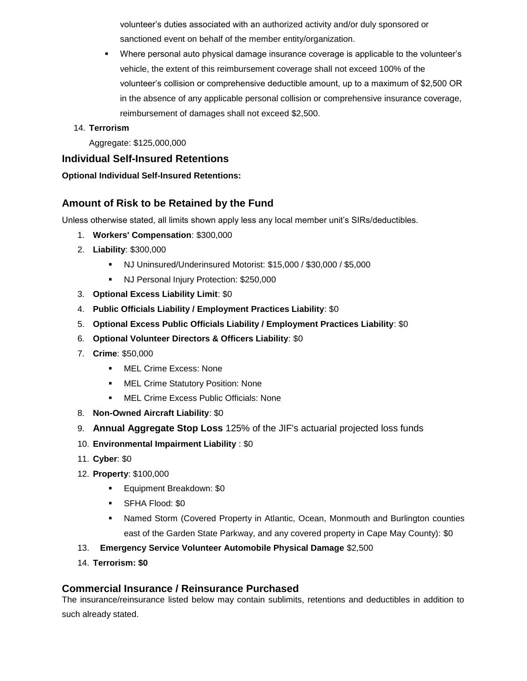volunteer's duties associated with an authorized activity and/or duly sponsored or sanctioned event on behalf of the member entity/organization.

 Where personal auto physical damage insurance coverage is applicable to the volunteer's vehicle, the extent of this reimbursement coverage shall not exceed 100% of the volunteer's collision or comprehensive deductible amount, up to a maximum of \$2,500 OR in the absence of any applicable personal collision or comprehensive insurance coverage, reimbursement of damages shall not exceed \$2,500.

#### 14. **Terrorism**

Aggregate: \$125,000,000

## **Individual Self-Insured Retentions**

#### **Optional Individual Self-Insured Retentions:**

## **Amount of Risk to be Retained by the Fund**

Unless otherwise stated, all limits shown apply less any local member unit's SIRs/deductibles.

- 1. **Workers' Compensation**: \$300,000
- 2. **Liability**: \$300,000
	- NJ Uninsured/Underinsured Motorist: \$15,000 / \$30,000 / \$5,000
	- **NJ Personal Injury Protection: \$250,000**
- 3. **Optional Excess Liability Limit**: \$0
- 4. **Public Officials Liability / Employment Practices Liability**: \$0
- 5. **Optional Excess Public Officials Liability / Employment Practices Liability**: \$0
- 6. **Optional Volunteer Directors & Officers Liability**: \$0
- 7. **Crime**: \$50,000
	- **NEL Crime Excess: None**
	- **MEL Crime Statutory Position: None**
	- **MEL Crime Excess Public Officials: None**
- 8. **Non-Owned Aircraft Liability**: \$0
- 9. **Annual Aggregate Stop Loss** 125% of the JIF's actuarial projected loss funds
- 10. **Environmental Impairment Liability** : \$0
- 11. **Cyber**: \$0
- 12. **Property**: \$100,000
	- **Equipment Breakdown: \$0**
	- SFHA Flood: \$0
	- Named Storm (Covered Property in Atlantic, Ocean, Monmouth and Burlington counties east of the Garden State Parkway, and any covered property in Cape May County): \$0
- 13. **Emergency Service Volunteer Automobile Physical Damage** \$2,500
- 14. **Terrorism: \$0**

## **Commercial Insurance / Reinsurance Purchased**

The insurance/reinsurance listed below may contain sublimits, retentions and deductibles in addition to such already stated.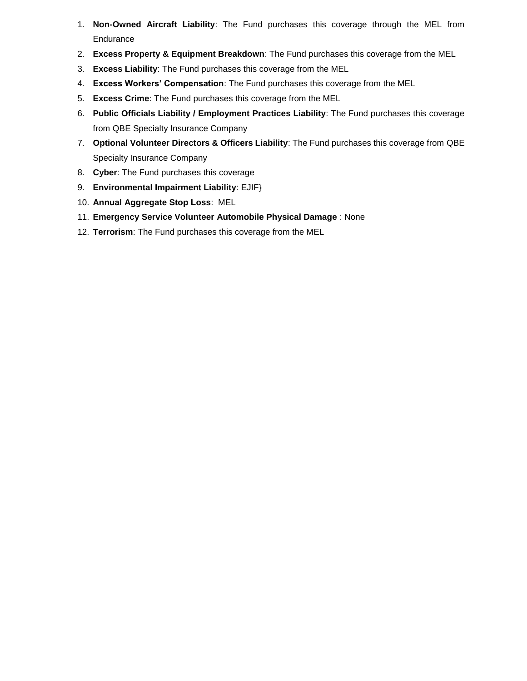- 1. **Non-Owned Aircraft Liability**: The Fund purchases this coverage through the MEL from **Endurance**
- 2. **Excess Property & Equipment Breakdown**: The Fund purchases this coverage from the MEL
- 3. **Excess Liability**: The Fund purchases this coverage from the MEL
- 4. **Excess Workers' Compensation**: The Fund purchases this coverage from the MEL
- 5. **Excess Crime**: The Fund purchases this coverage from the MEL
- 6. **Public Officials Liability / Employment Practices Liability**: The Fund purchases this coverage from QBE Specialty Insurance Company
- 7. **Optional Volunteer Directors & Officers Liability**: The Fund purchases this coverage from QBE Specialty Insurance Company
- 8. **Cyber**: The Fund purchases this coverage
- 9. **Environmental Impairment Liability**: EJIF}
- 10. **Annual Aggregate Stop Loss**: MEL
- 11. **Emergency Service Volunteer Automobile Physical Damage** : None
- 12. **Terrorism**: The Fund purchases this coverage from the MEL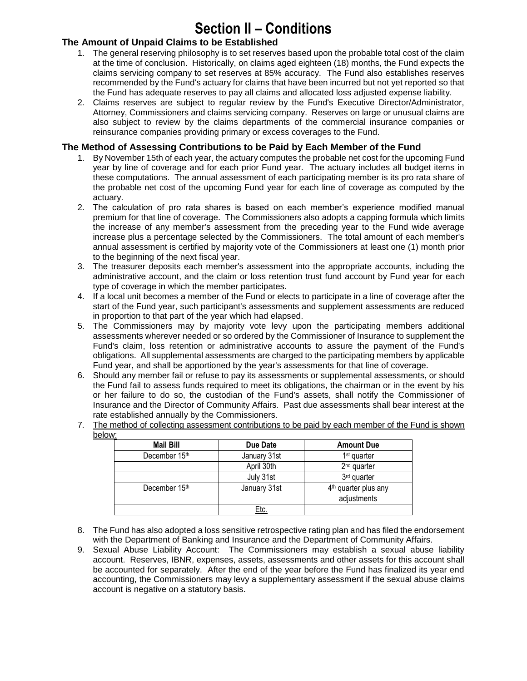# **Section II – Conditions**

## **The Amount of Unpaid Claims to be Established**

- 1. The general reserving philosophy is to set reserves based upon the probable total cost of the claim at the time of conclusion. Historically, on claims aged eighteen (18) months, the Fund expects the claims servicing company to set reserves at 85% accuracy. The Fund also establishes reserves recommended by the Fund's actuary for claims that have been incurred but not yet reported so that the Fund has adequate reserves to pay all claims and allocated loss adjusted expense liability.
- 2. Claims reserves are subject to regular review by the Fund's Executive Director/Administrator, Attorney, Commissioners and claims servicing company. Reserves on large or unusual claims are also subject to review by the claims departments of the commercial insurance companies or reinsurance companies providing primary or excess coverages to the Fund.

## **The Method of Assessing Contributions to be Paid by Each Member of the Fund**

- 1. By November 15th of each year, the actuary computes the probable net cost for the upcoming Fund year by line of coverage and for each prior Fund year. The actuary includes all budget items in these computations. The annual assessment of each participating member is its pro rata share of the probable net cost of the upcoming Fund year for each line of coverage as computed by the actuary.
- 2. The calculation of pro rata shares is based on each member's experience modified manual premium for that line of coverage. The Commissioners also adopts a capping formula which limits the increase of any member's assessment from the preceding year to the Fund wide average increase plus a percentage selected by the Commissioners. The total amount of each member's annual assessment is certified by majority vote of the Commissioners at least one (1) month prior to the beginning of the next fiscal year.
- 3. The treasurer deposits each member's assessment into the appropriate accounts, including the administrative account, and the claim or loss retention trust fund account by Fund year for each type of coverage in which the member participates.
- 4. If a local unit becomes a member of the Fund or elects to participate in a line of coverage after the start of the Fund year, such participant's assessments and supplement assessments are reduced in proportion to that part of the year which had elapsed.
- 5. The Commissioners may by majority vote levy upon the participating members additional assessments wherever needed or so ordered by the Commissioner of Insurance to supplement the Fund's claim, loss retention or administrative accounts to assure the payment of the Fund's obligations. All supplemental assessments are charged to the participating members by applicable Fund year, and shall be apportioned by the year's assessments for that line of coverage.
- 6. Should any member fail or refuse to pay its assessments or supplemental assessments, or should the Fund fail to assess funds required to meet its obligations, the chairman or in the event by his or her failure to do so, the custodian of the Fund's assets, shall notify the Commissioner of Insurance and the Director of Community Affairs. Past due assessments shall bear interest at the rate established annually by the Commissioners.
- 7. The method of collecting assessment contributions to be paid by each member of the Fund is shown below:

| <b>Mail Bill</b> | Due Date     | <b>Amount Due</b>                               |
|------------------|--------------|-------------------------------------------------|
| December 15th    | January 31st | 1 <sup>st</sup> quarter                         |
|                  | April 30th   | $2nd$ quarter                                   |
|                  | July 31st    | 3rd quarter                                     |
| December 15th    | January 31st | 4 <sup>th</sup> quarter plus any<br>adjustments |
|                  | <u>Etc.</u>  |                                                 |

- 8. The Fund has also adopted a loss sensitive retrospective rating plan and has filed the endorsement with the Department of Banking and Insurance and the Department of Community Affairs.
- 9. Sexual Abuse Liability Account: The Commissioners may establish a sexual abuse liability account. Reserves, IBNR, expenses, assets, assessments and other assets for this account shall be accounted for separately. After the end of the year before the Fund has finalized its year end accounting, the Commissioners may levy a supplementary assessment if the sexual abuse claims account is negative on a statutory basis.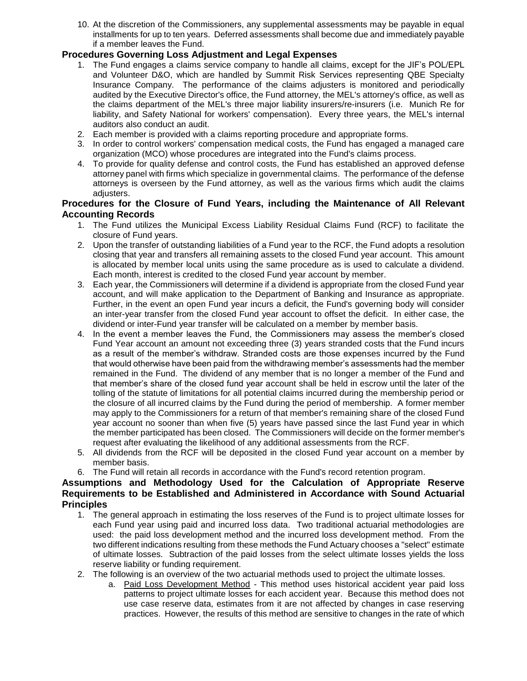10. At the discretion of the Commissioners, any supplemental assessments may be payable in equal installments for up to ten years. Deferred assessments shall become due and immediately payable if a member leaves the Fund.

## **Procedures Governing Loss Adjustment and Legal Expenses**

- 1. The Fund engages a claims service company to handle all claims, except for the JIF's POL/EPL and Volunteer D&O, which are handled by Summit Risk Services representing QBE Specialty Insurance Company. The performance of the claims adjusters is monitored and periodically audited by the Executive Director's office, the Fund attorney, the MEL's attorney's office, as well as the claims department of the MEL's three major liability insurers/re-insurers (i.e. Munich Re for liability, and Safety National for workers' compensation). Every three years, the MEL's internal auditors also conduct an audit.
- 2. Each member is provided with a claims reporting procedure and appropriate forms.
- 3. In order to control workers' compensation medical costs, the Fund has engaged a managed care organization (MCO) whose procedures are integrated into the Fund's claims process.
- 4. To provide for quality defense and control costs, the Fund has established an approved defense attorney panel with firms which specialize in governmental claims. The performance of the defense attorneys is overseen by the Fund attorney, as well as the various firms which audit the claims adjusters.

#### **Procedures for the Closure of Fund Years, including the Maintenance of All Relevant Accounting Records**

- 1. The Fund utilizes the Municipal Excess Liability Residual Claims Fund (RCF) to facilitate the closure of Fund years.
- 2. Upon the transfer of outstanding liabilities of a Fund year to the RCF, the Fund adopts a resolution closing that year and transfers all remaining assets to the closed Fund year account. This amount is allocated by member local units using the same procedure as is used to calculate a dividend. Each month, interest is credited to the closed Fund year account by member.
- 3. Each year, the Commissioners will determine if a dividend is appropriate from the closed Fund year account, and will make application to the Department of Banking and Insurance as appropriate. Further, in the event an open Fund year incurs a deficit, the Fund's governing body will consider an inter-year transfer from the closed Fund year account to offset the deficit. In either case, the dividend or inter-Fund year transfer will be calculated on a member by member basis.
- 4. In the event a member leaves the Fund, the Commissioners may assess the member's closed Fund Year account an amount not exceeding three (3) years stranded costs that the Fund incurs as a result of the member's withdraw. Stranded costs are those expenses incurred by the Fund that would otherwise have been paid from the withdrawing member's assessments had the member remained in the Fund. The dividend of any member that is no longer a member of the Fund and that member's share of the closed fund year account shall be held in escrow until the later of the tolling of the statute of limitations for all potential claims incurred during the membership period or the closure of all incurred claims by the Fund during the period of membership. A former member may apply to the Commissioners for a return of that member's remaining share of the closed Fund year account no sooner than when five (5) years have passed since the last Fund year in which the member participated has been closed. The Commissioners will decide on the former member's request after evaluating the likelihood of any additional assessments from the RCF.
- 5. All dividends from the RCF will be deposited in the closed Fund year account on a member by member basis.
- 6. The Fund will retain all records in accordance with the Fund's record retention program.

#### **Assumptions and Methodology Used for the Calculation of Appropriate Reserve Requirements to be Established and Administered in Accordance with Sound Actuarial Principles**

- 1. The general approach in estimating the loss reserves of the Fund is to project ultimate losses for each Fund year using paid and incurred loss data. Two traditional actuarial methodologies are used: the paid loss development method and the incurred loss development method. From the two different indications resulting from these methods the Fund Actuary chooses a "select" estimate of ultimate losses. Subtraction of the paid losses from the select ultimate losses yields the loss reserve liability or funding requirement.
- 2. The following is an overview of the two actuarial methods used to project the ultimate losses.
	- a. Paid Loss Development Method This method uses historical accident year paid loss patterns to project ultimate losses for each accident year. Because this method does not use case reserve data, estimates from it are not affected by changes in case reserving practices. However, the results of this method are sensitive to changes in the rate of which